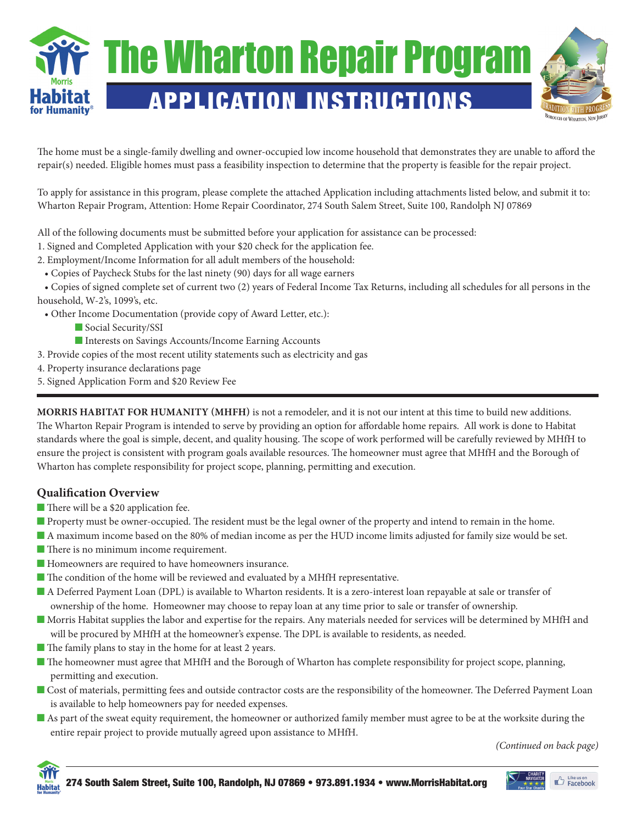

The home must be a single-family dwelling and owner-occupied low income household that demonstrates they are unable to afford the repair(s) needed. Eligible homes must pass a feasibility inspection to determine that the property is feasible for the repair project.

To apply for assistance in this program, please complete the attached Application including attachments listed below, and submit it to: Wharton Repair Program, Attention: Home Repair Coordinator, 274 South Salem Street, Suite 100, Randolph NJ 07869

All of the following documents must be submitted before your application for assistance can be processed:

1. Signed and Completed Application with your \$20 check for the application fee.

2. Employment/Income Information for all adult members of the household:

• Copies of Paycheck Stubs for the last ninety (90) days for all wage earners

 • Copies of signed complete set of current two (2) years of Federal Income Tax Returns, including all schedules for all persons in the household, W-2's, 1099's, etc.

• Other Income Documentation (provide copy of Award Letter, etc.):

- Social Security/SSI
- Interests on Savings Accounts/Income Earning Accounts
- 3. Provide copies of the most recent utility statements such as electricity and gas
- 4. Property insurance declarations page
- 5. Signed Application Form and \$20 Review Fee

**Morris Habitat for Humanity (MHFH)** is not a remodeler, and it is not our intent at this time to build new additions. The Wharton Repair Program is intended to serve by providing an option for affordable home repairs. All work is done to Habitat standards where the goal is simple, decent, and quality housing. The scope of work performed will be carefully reviewed by MHfH to ensure the project is consistent with program goals available resources. The homeowner must agree that MHfH and the Borough of Wharton has complete responsibility for project scope, planning, permitting and execution.

## **Qualification Overview**

- There will be a \$20 application fee.
- **n** Property must be owner-occupied. The resident must be the legal owner of the property and intend to remain in the home.
- n A maximum income based on the 80% of median income as per the HUD income limits adjusted for family size would be set.
- **n** There is no minimum income requirement.
- **n** Homeowners are required to have homeowners insurance.
- n The condition of the home will be reviewed and evaluated by a MHfH representative.
- n A Deferred Payment Loan (DPL) is available to Wharton residents. It is a zero-interest loan repayable at sale or transfer of ownership of the home. Homeowner may choose to repay loan at any time prior to sale or transfer of ownership.
- n Morris Habitat supplies the labor and expertise for the repairs. Any materials needed for services will be determined by MHfH and will be procured by MHfH at the homeowner's expense. The DPL is available to residents, as needed.
- The family plans to stay in the home for at least 2 years.
- n The homeowner must agree that MHfH and the Borough of Wharton has complete responsibility for project scope, planning, permitting and execution.
- **n** Cost of materials, permitting fees and outside contractor costs are the responsibility of the homeowner. The Deferred Payment Loan is available to help homeowners pay for needed expenses.
- n As part of the sweat equity requirement, the homeowner or authorized family member must agree to be at the worksite during the entire repair project to provide mutually agreed upon assistance to MHfH.

*(Continued on back page)*